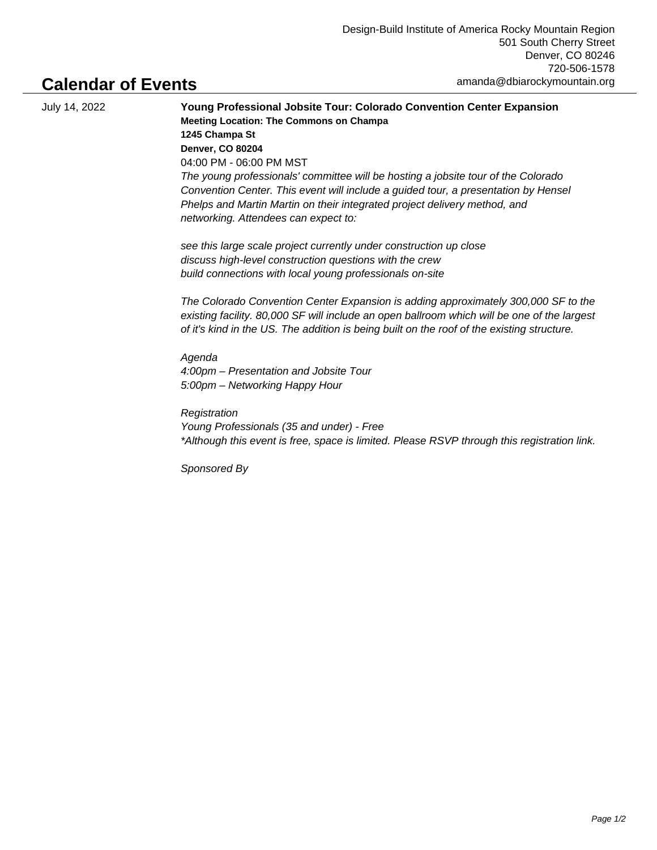## **Calendar of Events**

July 14, 2022 **Young Professional Jobsite Tour: Colorado Convention Center Expansion Meeting Location: The Commons on Champa 1245 Champa St Denver, CO 80204** 04:00 PM - 06:00 PM MST The young professionals' committee will be hosting a jobsite tour of the Colorado Convention Center. This event will include a guided tour, a presentation by Hensel Phelps and Martin Martin on their integrated project delivery method, and networking. Attendees can expect to:

> see this large scale project currently under construction up close discuss high-level construction questions with the crew build connections with local young professionals on-site

The Colorado Convention Center Expansion is adding approximately 300,000 SF to the existing facility. 80,000 SF will include an open ballroom which will be one of the largest of it's kind in the US. The addition is being built on the roof of the existing structure.

Agenda 4:00pm – Presentation and Jobsite Tour 5:00pm – Networking Happy Hour

**Registration** Young Professionals (35 and under) - Free \*Although this event is free, space is limited. Please RSVP through this registration link.

Sponsored By